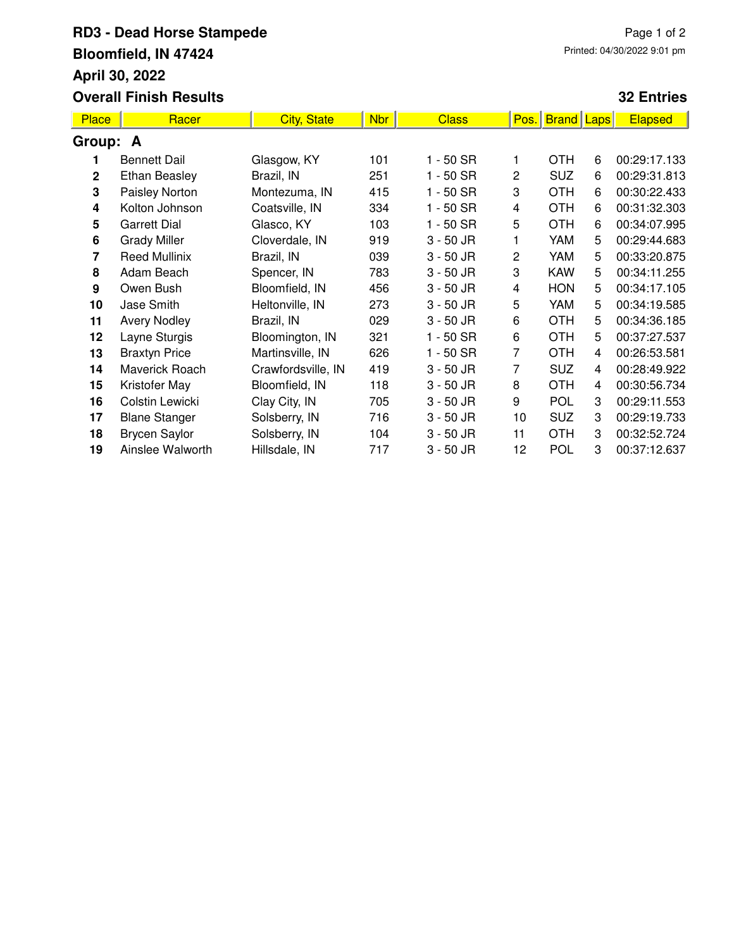## **RD3 - Dead Horse Stampede Bloomfield, IN 47424 April 30, 2022 Overall Finish Results**

## **32 Entries**

| <b>Place</b> | Racer                | <b>City, State</b> | <b>Nbr</b> | <b>Class</b> | Pos.           | <b>Brand</b> | Laps | <b>Elapsed</b> |  |  |
|--------------|----------------------|--------------------|------------|--------------|----------------|--------------|------|----------------|--|--|
| Group: A     |                      |                    |            |              |                |              |      |                |  |  |
|              | <b>Bennett Dail</b>  | Glasgow, KY        | 101        | $1 - 50$ SR  |                | <b>OTH</b>   | 6    | 00:29:17.133   |  |  |
| $\mathbf{2}$ | <b>Ethan Beasley</b> | Brazil, IN         | 251        | $1 - 50$ SR  | 2              | <b>SUZ</b>   | 6    | 00:29:31.813   |  |  |
| 3            | Paisley Norton       | Montezuma, IN      | 415        | $1 - 50$ SR  | 3              | <b>OTH</b>   | 6    | 00:30:22.433   |  |  |
| 4            | Kolton Johnson       | Coatsville, IN     | 334        | $1 - 50$ SR  | 4              | <b>OTH</b>   | 6    | 00:31:32.303   |  |  |
| 5            | <b>Garrett Dial</b>  | Glasco, KY         | 103        | $1 - 50$ SR  | 5              | <b>OTH</b>   | 6    | 00:34:07.995   |  |  |
| 6            | <b>Grady Miller</b>  | Cloverdale, IN     | 919        | $3 - 50$ JR  |                | YAM          | 5    | 00:29:44.683   |  |  |
| 7            | <b>Reed Mullinix</b> | Brazil, IN         | 039        | $3 - 50$ JR  | $\overline{c}$ | YAM          | 5    | 00:33:20.875   |  |  |
| 8            | Adam Beach           | Spencer, IN        | 783        | $3 - 50$ JR  | 3              | <b>KAW</b>   | 5    | 00:34:11.255   |  |  |
| 9            | Owen Bush            | Bloomfield, IN     | 456        | $3 - 50$ JR  | 4              | <b>HON</b>   | 5    | 00:34:17.105   |  |  |
| 10           | Jase Smith           | Heltonville, IN    | 273        | $3 - 50$ JR  | 5              | YAM          | 5    | 00:34:19.585   |  |  |
| 11           | <b>Avery Nodley</b>  | Brazil, IN         | 029        | $3 - 50$ JR  | 6              | <b>OTH</b>   | 5    | 00:34:36.185   |  |  |
| 12           | Layne Sturgis        | Bloomington, IN    | 321        | $1 - 50$ SR  | 6              | <b>OTH</b>   | 5    | 00:37:27.537   |  |  |
| 13           | <b>Braxtyn Price</b> | Martinsville, IN   | 626        | $1 - 50$ SR  | 7              | <b>OTH</b>   | 4    | 00:26:53.581   |  |  |
| 14           | Maverick Roach       | Crawfordsville, IN | 419        | $3 - 50$ JR  | 7              | <b>SUZ</b>   | 4    | 00:28:49.922   |  |  |
| 15           | Kristofer May        | Bloomfield, IN     | 118        | $3 - 50$ JR  | 8              | <b>OTH</b>   | 4    | 00:30:56.734   |  |  |
| 16           | Colstin Lewicki      | Clay City, IN      | 705        | $3 - 50$ JR  | 9              | <b>POL</b>   | 3    | 00:29:11.553   |  |  |
| 17           | <b>Blane Stanger</b> | Solsberry, IN      | 716        | $3 - 50$ JR  | 10             | <b>SUZ</b>   | 3    | 00:29:19.733   |  |  |
| 18           | <b>Brycen Saylor</b> | Solsberry, IN      | 104        | $3 - 50$ JR  | 11             | <b>OTH</b>   | 3    | 00:32:52.724   |  |  |
| 19           | Ainslee Walworth     | Hillsdale, IN      | 717        | $3 - 50$ JR  | 12             | POL          | 3    | 00:37:12.637   |  |  |